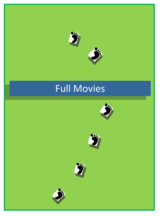

# Full Movies

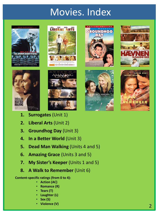# Movies. Index









- **1. Surrogates** (Unit 1)
- **2. Liberal Arts** (Unit 2)
- **3. Groundhog Day** (Unit 3)
- **4. In a Better World** (Unit 3)
- **5. Dead Man Walking** (Units 4 and 5)
- **6. Amazing Grace** (Units 3 and 5)
- **7. My Sister's Keeper** (Units 1 and 5)
- **8. A Walk to Remember** (Unit 6)

**Content-specific ratings (from 0 to 4):**

- **Action (AC)**
- **Romance (R)**
- **Tears (T)**
- **Laughter (L)**
- **Sex (S)**
- **Violence (V)**







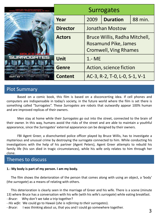|                   | <b>Surrogates</b> |                                                                                                                 |         |  |  |
|-------------------|-------------------|-----------------------------------------------------------------------------------------------------------------|---------|--|--|
|                   | Year              | 2009                                                                                                            | 88 min. |  |  |
|                   | <b>Director</b>   | <b>Jonathan Mostow</b><br>Bruce Willis, Radha Mitchell,<br>Rosamund Pike, James<br><b>Cromwell, Ving Rhames</b> |         |  |  |
|                   | <b>Actors</b>     |                                                                                                                 |         |  |  |
| <b>SURROGATES</b> | <b>Unit</b>       | $1 - ME$                                                                                                        |         |  |  |
|                   | <b>Genre</b>      | Action, science fiction<br>AC-3, R-2, T-0, L-0, S-1, V-1                                                        |         |  |  |
|                   | <b>Content</b>    |                                                                                                                 |         |  |  |

Based on a comic book, this film is based on a disconcerting idea. If cell phones and computers are indispensable in today's society, in the future world where the film is set there is something called "Surrogates". These *Surrogates* are robots that outwardly appear 100% human and are improved replicas of their owners.

Men stay at home while their *Surrogates* go out into the street, connected to the brain of their owner. In this way, humans avoid the risks of the street and are able to maintain a youthful appearance, since the *Surrogates'* external appearance can be designed by their owners.

FBI Agent Greer, a disenchanted police officer played by Bruce Willis, has to investigate a mysterious and unusual crime by destroying the surrogate connected to him. While conducting his investigations with the help of his partner (Agent Peters), Agent Greer attempts to rebuild his family life (his son died in tragic circumstances), while his wife only relates to him through her clone.

# Themes to discuss

### **1.- My body is part of my person. I am my body.**

The film shows the deterioration of the person that comes along with using an object, a 'body' (the *surrogate*) as a means of relating with others.

This deterioration is clearly seen in the marriage of Greer and his wife. There is a scene (minute 13) where Bruce has a conversation with his wife (with his wife's *surrogate*) while eating breakfast.

- *Bruce*: Why don't we take a trip together?
- *- His wife*: We could go to Hawaii (*she is referring to their surrogates*).
- *Bruce*: I was thinking about us, that you and I could go somewhere together.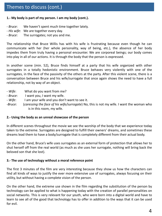### **1.- My body is part of my person. I am my body (cont.).**

- *Bruce*: We haven't spent much time together lately.
- *His wife*: We are together every day.
- *Bruce*: The surrogates; not you and me.

The relationship that Bruce Willis has with his wife is frustrating because even though he can communicate with her (her whole personality, way of being, etc.), the absence of her body impedes them from truly having a personal encounter. We are corporeal beings; our body comes into play in all of our actions. It is through the body that the person is expressed.

In another scene (min. 52), Bruce finds himself at a party that his wife organized with other surrogates in a totally hedonistic environment. Bruce behaves very violently with one of the surrogates, in the face of the passivity of the others at the party. After this violent scene, there is a conversation between Bruce and his wife/surrogate that once again shows the need to have a full relationship, not by way of an object.

- *Wife*: What do you want from me?
- *- Bruce*: I want you, I want my wife.
- *- Wife*: I am your wife and you don't want to see it.
- -*Bruce*: (*caressing the face of his wife/surrogate*) No, this is not my wife. I want the woman who is in this room, my wife.

### **2.- Using the body as an unreal showcase of the person**

In different scenes throughout the movie we see the worship of the body that we experience today taken to the extreme. Surrogates are designed to fulfill their owners' dreams, and sometimes these dreams lead them to have a body/surrogate that is completely different from their actual body.

On the other hand, Bruce's wife uses surrogates as an external form of protection that allows her to shut herself off from the real world (as much as she uses her surrogate, nothing will bring back the beloved son that she lost).

### **3.- The use of technology without a moral reference point**

The first 3 minutes of the film are very interesting because they show us how the characters can find all kinds of ways to justify the ever more extensive use of surrogates, always focusing on their utility, but without having a complete vision of the person.

On the other hand, the extreme use shown in the film regarding the substitution of the person by technology can be applied to what is happening today with the creation of parallel personalities on social networks. This is very relevant for our youth, who were born into a digital world and have to learn to see all of the good that technology has to offer in addition to the ways that it can be used for evil.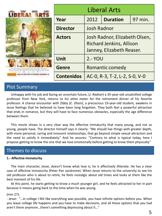| uzwet<br>OLUM | <b>Liberal Arts</b> |                                                                                               |                 |         |
|---------------|---------------------|-----------------------------------------------------------------------------------------------|-----------------|---------|
|               | Year                | 2012                                                                                          | <b>Duration</b> | 97 min. |
|               | <b>Director</b>     | Josh Radnor                                                                                   |                 |         |
|               | <b>Actors</b>       | Josh Radnor, Elizabeth Olsen,<br><b>Richard Jenkins, Allison</b><br>Janney, Elizabeth Reaser. |                 |         |
|               | <b>Unit</b>         | <b>2.- YOU</b>                                                                                |                 |         |
|               | Genre               | Romantic comedy                                                                               |                 |         |
|               | <b>Contenidos</b>   | AC-0, R-3, T-2, L-2, S-0, V-0                                                                 |                 |         |

Unhappy with his job and facing an uncertain future, (*J. Radnor*) a 35-year-old unsatisfied college professor from New York, returns to his *alma mater* for the retirement dinner of his favorite professor. A chance encounter with Zibby (*E. Olsen*), a precocious 19-year-old student, awakens in Jesse feelings that he believed to have been long forgotten. They both feel a powerful attraction that ends in romance, but they will have to face numerous obstacles, especially the age difference between them.

This movie shows in a very clear way the affective immaturity that many young, and not so young, people have. The director himself says it clearly: "We should live things with greater depth, with more personal, caring and innocent relationships, that go beyond simple sexual attraction and the need to satisfy it immediately." And he assures: "Contrary to what is typical today, here I propose getting to know the one that we love emotionally before getting to know them physically."

# Themes to discuss

### **1.- Affective immaturity**

The main character, Jesse, doesn't know what love is; he is affectively illiterate. He has a clear case of affective immaturity (Peter Pan syndrome). When Jesse returns to the university to see his old professor who is about to retire, he feels nostalgic about old times and looks at them like the best moment of his life.

At this point, he starts getting to know a much younger girl, and he feels attracted to her in part because it means going back to the time when he was young.

### (min 27):

- *Jesse:* "…in college I felt like everything was possible, you have infinite options before you. When you leave college life happens and you have to make decisions, and all these options that you had aren't there anymore…there's something depressing about it…"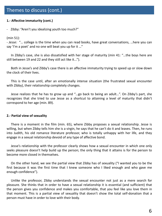### **1.- Affective immaturity (cont.)**

- Zibby: "Aren't you idealizing youth too much?"

### (min 51):

- *Jesse:* "… college is the time when you can read books, have great conversations, …here you can say 'I'm a poet' and no one will beat you up for it …"

In Zibby's case, she is also dissatisfied with her stage of maturity (min 41: "…the boys here are still between 19 and 22 and they still act like it...").

Both in Jesse's and Zibby's case there is an affective immaturity trying to speed up or slow down the clock of their lives.

This is the case until, after an emotionally intense situation (the frustrated sexual encounter with Zibby), their relationship completely changes.

Jesse realizes that he has to grow up and "…go back to being an adult…". On Zibby's part, she recognizes that she tried to use Jesse as a shortcut to attaining a level of maturity that didn't correspond to her age (min. 89).

### **2.- Partial view of sexuality**

There is a moment in the film (min. 65), where Zibby proposes a sexual relationship. Jesse is willing, but when Zibby tells him she is a virgin, he says that he can't do it and leaves. Then, he runs into Judith, his old romance literature professor, who is totally unhappy with her life, and they engage in a sexual relationship devoid of any type of affective bond.

Jesse's relationship with the professor clearly shows how a sexual encounter in which one only seeks pleasure doesn't help build up the person; the only thing that it attains is for the person to become more closed in themselves.

On the other hand, we see the partial view that Zibby has of sexuality ("I wanted you to be the first because it was the first time that I knew someone who I liked enough and who gave me enough confidence").

Unlike the professor, Zibby understands the sexual encounter not just as a mere search for pleasure. She thinks that in order to have a sexual relationship it is essential (and sufficient) that the person gives you confidence and makes you comfortable, that you feel like you love them in that moment. This is a partial view of sexuality that doesn't show the total self-donation that a person must have in order to love with their body.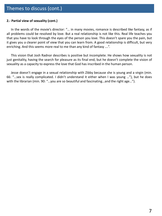### **2.- Partial view of sexuality (cont.)**

In the words of the movie's director: "… in many movies, romance is described like fantasy, as if all problems could be resolved by love. But a real relationship is not like this. Real life teaches you that you have to look through the eyes of the person you love. This doesn't spare you the pain, but it gives you a clearer point of view that you can learn from. A good relationship is difficult, but very enriching. And this seems more real to me than any kind of fantasy ….".

This vision that Josh Radnor describes is positive but incomplete. He shows how sexuality is not just genitality, having the search for pleasure as its final end, but he doesn't complete the vision of sexuality as a capacity to express the love that God has inscribed in the human person.

Jesse doesn't engage in a sexual relationship with Zibby because she is young and a virgin (min. 66: "…sex is really complicated. I didn't understand it either when I was young …"), but he does with the librarian (min. 90: "...you are so beautiful and fascinating...and the right age...").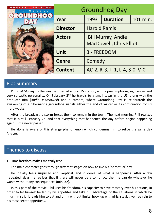| ECIAL EDITION<br><b>MURRAY</b><br>多                                                                                      | <b>Groundhog Day</b> |                                                                                                    |                 |          |  |
|--------------------------------------------------------------------------------------------------------------------------|----------------------|----------------------------------------------------------------------------------------------------|-----------------|----------|--|
|                                                                                                                          | Year                 | 1993                                                                                               | <b>Duration</b> | 101 min. |  |
|                                                                                                                          | <b>Director</b>      | <b>Harold Ramis</b><br><b>Bill Murray, Andie</b><br><b>MacDowell, Chris Elliott</b><br>3.- FREEDOM |                 |          |  |
|                                                                                                                          | <b>Actors</b>        |                                                                                                    |                 |          |  |
|                                                                                                                          | <b>Unit</b>          |                                                                                                    |                 |          |  |
|                                                                                                                          | <b>Genre</b>         | Comedy                                                                                             |                 |          |  |
| <sup>9</sup> ) conantic conedy fantasy<br>that is Bill Murray's best<br>screen performance."<br>Gen Shahr, ABC 794q Show | <b>Content</b>       | AC-2, R-3, T-1, L-4, S-0, V-0                                                                      |                 |          |  |

Phil (*Bill Murray*) is the weather man at a local TV station, with a presumptuous, egocentric and very sarcastic personality. On February 2<sup>nd</sup> he travels to a small town in the US, along with the producer Rita (*Andie MacDowell*) and a camera, where Groundhog Day is celebrated: the awakening of a hibernating groundhog signals either the end of winter or its continuation for six more weeks.

After the broadcast, a storm forces them to remain in the town. The next morning Phil realizes that it is still February 2<sup>nd</sup> and that everything that happened the day before begins happening again. Time never passed.

He alone is aware of this strange phenomenon which condemns him to relive the same day forever.

# Themes to discuss

### **1.- True freedom makes me truly free**

The main character goes through different stages on how to live his 'perpetual' day.

He initially feels surprised and skeptical, and in denial of what is happening. After a few 'repeated' days, he realizes that if there will never be a tomorrow then he can do whatever he wants without any consequences (min. 32).

In this part of the movie, Phil uses his freedom, his capacity to have mastery over his actions, in order to let himself be led by his appetites and take full advantage of the situations in which he finds himself. It leads him to eat and drink without limits, hook up with girls, steal, give free rein to his most secret appetites…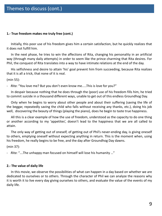### **1.- True freedom makes me truly free (cont.)**

Initially, this poor use of his freedom gives him a certain satisfaction, but he quickly realizes that it does not fulfill him.

In the next phase, he tries to win the affections of Rita, changing his personality in an artificial way (through many daily attempts) in order to seem like the prince charming that Rita desires. For Phil, the conquest of Rita translates into a way to have intimate relations at the end of the day.

His selfishness and desire to attain 'his' goal prevent him from succeeding, because Rita realizes that it is all a trick, that none of it is real.

(min 55):

- *Rita*: "You love me? But you don't even know me.....This is love for you?"

In despair because nothing that he does through the (poor) use of his freedom fills him, he tried to commit suicide in a thousand different ways, unable to get out of this endless Groundhog Day.

Only when he begins to worry about other people and about their suffering (saving the life of the beggar, repeatedly saving the child who falls without receiving any thanks, etc.), doing his job well, discovering the beauty of things (playing the piano), does he begin to taste true happiness.

All this is a clear example of how the use of freedom, understood as the capacity to do one thing or another according to my 'appetites', doesn't lead to the happiness that we are all called to attain.

The only way of getting out of oneself, of getting out of Phil's never-ending day, is giving oneself to others, emptying oneself without expecting anything in return. This is the moment when, using his freedom, he really begins to be free, and the day after Groundhog Day dawns.

(min 37):

- *Rita*: "….The unhappy man focused on himself will lose his humanity …"

### **2.- The value of daily life**

In this movie, we observe the possibilities of what can happen in a day based on whether we are dedicated to ourselves or to others. Through the character of Phil we can analyze the reasons why it is worth it to live every day giving ourselves to others, and evaluate the value of the events of my daily life.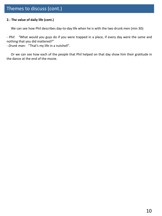### **2.- The value of daily life (cont.)**

We can see how Phil describes day-to-day life when he is with the two drunk men (min 30):

- *Phil: "*What would you guys do if you were trapped in a place, if every day were the same and nothing that you did mattered?"

- *Drunk man:* "That's my life in a nutshell".

Or we can see how each of the people that Phil helped on that day show him their gratitude in the dance at the end of the movie.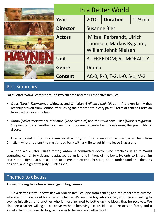|                                     | In a Better World |                                                                                                                                                                                    |                 |          |  |
|-------------------------------------|-------------------|------------------------------------------------------------------------------------------------------------------------------------------------------------------------------------|-----------------|----------|--|
|                                     | Year              | 2010                                                                                                                                                                               | <b>Duration</b> | 119 min. |  |
|                                     | <b>Director</b>   | <b>Susanne Bier</b><br><b>Mikael Perbrandt, Ulrich</b><br>Thomsen, Markus Rygaard,<br>William Jøhnk Nielsen<br>3.- FREEDOM; 5.- MORALITY<br>Drama<br>AC-0, R-3, T-2, L-0, S-1, V-2 |                 |          |  |
| <b>LEECHTHOMSEN</b><br><b>JEDYR</b> | <b>Actors</b>     |                                                                                                                                                                                    |                 |          |  |
|                                     | <b>Unit</b>       |                                                                                                                                                                                    |                 |          |  |
|                                     | <b>Genre</b>      |                                                                                                                                                                                    |                 |          |  |
|                                     | <b>Content</b>    |                                                                                                                                                                                    |                 |          |  |

"*In a Better World*" centers around two children and their respective families.

- Claus (*Ulrich Thomsen*), a widower, and Christian *(William Jøhnk Nielsen*). A broken family that recently arrived from London after losing their mother to a very painful form of cancer. Christian hasn't gotten over the loss.
- Anton (*Mikel Persbrandt*), Marianne (*Trine Dyrholm*) and their two sons: Elias (*Markus Rygaard*), 10 years old, and another younger boy. They are separated and considering the possibility of divorce.

Elias is picked on by his classmates at school, until he receives some unexpected help from Christian, who threatens the class's head bully with a knife to get him to leave Elias alone.

A little while later, Elias's father, Anton, a committed doctor who practices in Third World countries, comes to visit and is attacked by an lunatic in front of the boys. He opts to ignore him and not to fight back. Elias, and to a greater extent Christian, don't understand the doctor's position, and a great tragedy is unleashed.

# Themes to discuss

#### **1.- Responding to violence: revenge or forgiveness**

"*In a Better World*" shows us two broken families: one from cancer, and the other from divorce, who are both crying out for a second chance. We see one boy who is angry with life and willing to avenge injustices, and another who is more inclined to bottle up the blows that he receives. We also see a father willing to be brave without behaving like an idiot who resorts to force, and a society that must learn to forgive in order to believe in a better world.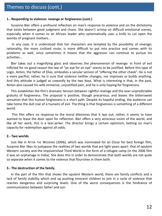#### **1.- Responding to violence: revenge or forgiveness (cont.)**

Susanne Bier offers a profound reflection on man's response to violence and on the dichotomy that exists between good judgment and chaos. She doesn't scrimp on difficult emotional scenes, especially when it comes to an African leader who systematically uses a knife to cut open the wombs of pregnant mothers...

In any case, it is understood that her characters are tempted by the possibility of revenge; rationality, the more civilized route, is more difficult to put into practice and comes with its problems as well, since sometimes it means that the aggressor can continue to pursue his activities...

Bier takes out a magnifying glass and observes the phenomenon of revenge: in front of evil inflicted for no good reason the law of "an eye for an eye" seems to be justified. Before this type of Logic, Anton, the father of Elias, embodies a secular version of "offering the other cheek". He is not a mere pacifist; rather, he is sure that violence neither changes, nor improves or builds anything. And this attitude is judged as cowardly by the two boys. What is interesting is that, in the past, Anton also caused his wife immense, unjustified pain, and he is only hoping for forgiveness.

This establishes the film's dramatic tension between rightful revenge and the ever-unpredictable gratuity of forgiveness. The proposal is positive, though precarious, and leaves the bittersweet sensation that this human forgiveness is a short path. Despite its hopeful ending, the audience can take home the dull roar of a tsunami of evil. The thing is that forgiveness is something of a different world.

This film offers no response to the moral dilemmas that it lays out; rather, it seems to have wanted to leave the door open for reflection. Bier offers a very atrocious vision of the world, and like all her work, this is a tear-jerker. The director brings a certain optimism, betting on man's capacity for redemption against all odds.

#### **2.- Two worlds**

Just like in AFTER THE WEDDING (2006), which was nominated for an Oscar for best foreign film, Susanne Bier likes to juxtapose the realities of two worlds that are light-years apart: that of opulent Western society and the impoverished Third World in the form of a refugee camp (in the 2006 film it was an orphanage in India). She does this in order to demonstrate that both worlds are not quite so separate when it comes to the violence that flourishes in them both.

#### **3.- The destruction of the family**

In the part of the film that shows the opulent Western world, there are family conflicts and a lack of family stability which end up pushing innocent children to join in a cycle of violence that reaches dangerous and surprising levels. One of the worst consequences is the hindrance of communication between father and son.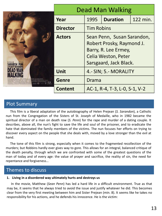|  | <b>Dead Man Walking</b> |                               |                                                                                                                                  |          |  |
|--|-------------------------|-------------------------------|----------------------------------------------------------------------------------------------------------------------------------|----------|--|
|  | Year                    | 1995                          | <b>Duration</b>                                                                                                                  | 122 min. |  |
|  | <b>Director</b>         | <b>Tim Robins</b>             |                                                                                                                                  |          |  |
|  | <b>Actors</b>           |                               | Sean Penn, Susan Sarandon,<br>Robert Prosky, Raymond J.<br>Barry, R. Lee Ermey,<br>Celia Weston, Peter<br>Sarsgaard, Jack Black. |          |  |
|  | Unit                    | 4.- SIN; 5.- MORALITY         |                                                                                                                                  |          |  |
|  | <b>Genre</b>            | Drama                         |                                                                                                                                  |          |  |
|  | <b>Content</b>          | AC-1, R-4, T-3, L-0, S-1, V-2 |                                                                                                                                  |          |  |

This film is a liberal adaptation of the autobiography of Helen Prejean (*S. Sarandon*), a Catholic nun from the Congregation of the Sisters of St. Joseph of Medaille, who in 1982 became the spiritual director of a man on death row (*S. Penn*) for the rape and murder of a dating couple. It describes, above all, the nun's fight to save the life and soul of the prisoner, and to eradicate the hate that dominated the family members of the victims. The nun focuses her efforts on trying to discover every aspect on the people that she deals with, moved by a love stronger than the evil at hand.

The tone of this film is strong, especially when it comes to the fragmented recollection of the murders; but Robbins hardly ever gives way to gore. This allows for an integral, balanced critique of the death penalty, through which we are confronted with some of the greatest questions of the man of today and of every age: the value of prayer and sacrifice, the reality of sin, the need for repentance and forgiveness…

# Themes to discuss

### **1. Living in a disordered way ultimately hurts and destroys us**

In the movie, Matthew (*Sean Penn*) has led a hard life in a difficult environment. True as that may be, it seems that he always tried to avoid the issue and justify whatever he did. This becomes clear from the very first meeting between him and Sister Prejean (min. 8). It seems like he takes no responsibility for his actions, and he defends his innocence. He is the victim: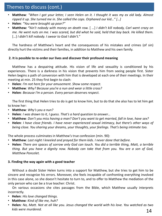# Themes to discuss (cont.)

- Matthew: "When I got your letter, I seen Helen on it. I thought it was my ex old lady. Almost *ripped it up. She turned me in. She called the cops. Orphaned our kid…" […]*
- **Helen***: "You were brought up poor?"*
- Matthew: "Ain't nobody with money on death row. [ ...] I didn't kill nobody, Carl went crazy on me. He went nuts on me. I was scared, but did what he said, held that boy back. He killed them. […] *I didn't kill nobody. I swear to God I didn't."*

The hardness of Matthew's heart and the consequences of his mistakes and crimes (of sin) directly hurt the victims and their families, in addition to Matthew and his own family.

### **2. It is possible to re-order our lives and discover their profound meaning**

Matthew has a despairing attitude. His vision of life and sexuality is conditioned by his experiences. There is a darkness in his vision that prevents him from seeing people first. Sister Helen begins a path of conversion with him that is developed at each one of their meetings. In their meeting at min. 25 they first begin to clash:

- **Helen***: I'm not here for your amusement. Show some respect.*
- **Matthew***: Why? Because you're a nun and wear a little cross?*
- **Helen***: Because I'm a person. Every person deserves respect.*

The first thing that Helen tries to do is get to know him, but to do that she also has to let him get to know her:

- **Matthew***: Why's you a nun?*
- **Helen***: I was drawn to it, I guess. That's a hard question to answer…*
- Matthew: Don't you miss having a man? Don't you want to get married, fall in love, have sex?
- **Helen***: I have close friends. I have never experienced sexual intimacy, but there's other ways of being close. You sharing your dreams, your thoughts, your feelings. That's being intimate too.*

The whole process culminates in Matthew's true confession (min. 90):

- **Matthew***: Last night I kneeled and prayed for them kids. I never done that before.*
- Helen: There are spaces of sorrow only God can touch. You did a terrible thing, Matt, a terrible *thing. But you have a dignity now. Nobody can take that from you. You are a son of God, Matthew Poncelet.*

### **3. Finding the way again with a good teacher**

Without a doubt Sister Helen turns into a support for Matthew, but she tries to get him to be sincere and recognize his errors. Moreover, she feels incapable of confronting everything involved in this case alone, so she doesn't hesitate to turn to, and to offer to Matthew the mediation of the only person who can be a true teacher: Christ.

On various occasions she cites passages from the Bible, which Matthew usually interprets incorrectly.

- **Helen**: *His love changed things.*
- **Matthew***: Kind of like me, huh?*
- 14 • Helen: No, Matt. Not at all like you. Jesus changed the world with his love. You watched as two *kids were murdered.*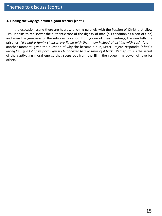#### **3. Finding the way again with a good teacher (cont.)**

In the execution scene there are heart-wrenching parallels with the Passion of Christ that allow Tim Robbins to rediscover the authentic root of the dignity of man (his condition as a son of God) and even the greatness of the religious vocation. During one of their meetings, the nun tells the prisoner: "*If I had a family chances are I'd be with them now instead of visiting with you*". And in another moment, given the question of why she became a nun, Sister Prejean responds: "*I had a* loving family, a lot of support. I guess I felt obliged to give some of it back". Perhaps this is the secret of the captivating moral energy that seeps out from the film: the redeeming power of love for others.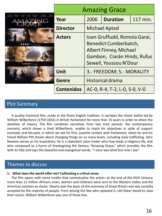|                                                                                  | <b>Amazing Grace</b> |                                                                                                                                                 |                           |  |  |  |
|----------------------------------------------------------------------------------|----------------------|-------------------------------------------------------------------------------------------------------------------------------------------------|---------------------------|--|--|--|
| ROMOLA CARAN RUFUS YOUSSOU MICHAEL<br>GARAI HINDS SEWELL N'DOUR HINGAMBON<br>SC. | Year                 | 2006                                                                                                                                            | 117 min.                  |  |  |  |
|                                                                                  | <b>Director</b>      |                                                                                                                                                 | <b>Michael Apted</b>      |  |  |  |
| "A Must-See." - o Magazine                                                       | <b>Actors</b>        | Ioan Gruffudd, Romola Garai,<br>Benedict Cumberbatch,<br><b>Albert Finney, Michael</b><br>Gambon, Ciarán Hinds, Rufus<br>Sewell, Youssou N'Dour |                           |  |  |  |
|                                                                                  | <b>Unit</b>          |                                                                                                                                                 | 3.- FREEDOM; 5.- MORALITY |  |  |  |
|                                                                                  | <b>Genre</b>         | Historical drama<br>AC-0, R-4, T-2, L-0, S-0, V-0                                                                                               |                           |  |  |  |
|                                                                                  | <b>Contenidos</b>    |                                                                                                                                                 |                           |  |  |  |

A quality historical film, made in the finest English tradition. It narrates the titanic battle led by William Wilberforce (1759-1833) in British Parliament for more than 15 years in order to attain the abolition of slavery. The film combines narratives from two time periods: the contemporary moment, which shows a tired Wilberforce, unable to reach his objectives in spite of support received; and the past, in which we see his first, juvenile contact with Parliament, when he and his friend William Pitt dream about changing things on so many levels, including slave trafficking. John Newton serves as his inspiration; he is a repentant slave trader who now leads a religious life, and who composed as a hymn of thanksgiving the famous "Amazing Grace," which provides the film with its title and says the beautiful and evangelical words, "I once was blind but now I see".

# Themes to discuss

### **1. What does the world offer me? Cultivating a critical sense**

The film opens with some credits that contextualize the action: at the end of the XVIII Century, more than 11 million Africans (men, women and children) were sent to the Western Indies and the American colonies as slaves. Slavery was the basis of the economy of Great Britain and was sociality accepted by the majority of people. From among the few who opposed it, still fewer dared to raise their voices. William Wilberforce was one of those few.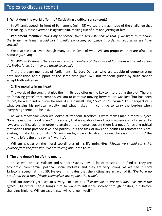### **1. What does the world offer me? Cultivating a critical sense (cont.)**

In William's speech in front of Parliament (min. 45) we see the magnitude of the challenge that he is facing. Almost everyone is against him, making fun of him and jeering at him.

**Parliament member:** "*Does my honorable friend seriously believe that if we were to abandon the trade the French would not immediately occupy our place in order to reap what we have sowed?*"

We also see that even though many are in favor of what William proposes, they are afraid to admit it (min. 48):

### *Sir William Dolben: "There are many more members of the House of Commons who think as you do, Wilberforce, but they are afraid to speak".*

There are even members of Parliament, like Lord Dundas, who are capable of demonstrating both opposition and support at the same time (min. 67). But freedom guided by truth cannot accept both extremes.

#### **2. The morality in my heart.**

The words of the song that give the film its title offer us the key to interpreting the plot. There is an "amazing grace" that compels William to continue moving forward. He was lost "but has been found", he was blind but now he sees. As he himself says, "*God has found me*". This perspective is what sustains his political activity, and what makes him continue to carry the burden when everything seemed to be lost.

As we already saw when we looked at freedom, freedom is what makes man a moral subject. Nonetheless, the moral "scent" of a society that is capable of eradicating violence is not created by laws and politics alone. In order to attain a more human society there is a need for strong ethical motivations that precede laws and politics. It is the task of laws and politics to reinforce this preexisting moral substratum. As C. S. Lewis wrote, if we all laugh at the one who says "this is just," the only one left is the one saying "I want…".

William is clear on the moral coordinates of his life (min. 49): *"Maybe we should start this journey from the first step. We are talking about the truth".*

### **3. The end doesn't justify the means**

Those who oppose William and support slavery have a lot of reasons to defend it. They are economic, commercial, political, social motives…and they are very strong, as we see in Lord Tarleton's speech at min. 59. He even insinuates that the victims are in favor of it: "*We have no proof that even the Africans themselves are against the trade".*

William doesn't get used to slavery. For him it is "*like arsenic, every new dose has twice the effect*". His critical sense brings him to want to influence society through politics, but before changing England, William says "first, I will change myself".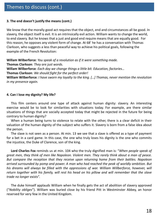### **3. The end doesn't justify the means (cont.)**

We know that the morally good act requires that the object, end and circumstances all be good. In slavery, the object itself is evil. It is an intrinsically evil action. William wants to change the world, to end slavery. But he knows that a just and good end require means that are equally good. For this reason, he opposes any violent form of change. At 68' he has a conversation with Thomas Clarkson, who suggests a less than peaceful way to achieve his political goals, following the example of the French Revolution:

**Willam Wilberforce***: You speak of a revolution as if it were something made.* **Thomas Clarkson***: They are just words.* **Willam Wilberforce***: Each day we change things a little bit. Education, factories…* **Thomas Clarkson***: We should fight for the perfect order!* **William Wilberforce***: I have sworn my loyalty to the king. […] Thomas, never mention the revolution in my presence again.*

### **4. Can I lose my dignity? My life?**

This film centers around one type of attack against human dignity: slavery. An interesting exercise would be to look for similarities with situations today. For example, are there similar situations of things that are socially accepted today that might be rejected in the future for being contrary to human dignity?

When a human being turns to violence to relate with the other, there is a clear deficit in their valuation of the human dignity of the subject who suffers it. Slavery is born from a false idea about the person.

The slave is not seen as a person. At min. 13 we see that a slave is offered as a type of payment for a bet in a card game. In this case, the one who truly loses his dignity is the one who commits the injustice, the Duke of Clarence, son of the king.

**Lord Charles Fox** reminds us at min. 104 who the truly dignified man is: "*When people speak of great men, they think of men like Napoleon. Violent men. They rarely think about a man of peace. But compare the reception that they receive upon returning home from their battles. Napoleon arrived surrounded by pomp and power. A man who had reached the peak of worldly ambition. But his dreams will always be filled with the oppressions of war. William Willberforce, however, will return together with his family, will rest his head on his pillow and will remember that the slave trade no longer exists*".

The duke himself applauds William when he finally gets the act of abolition of slavery approved ("*Nobility obliges*"). William was buried close by his friend Pitt in Westminster Abbey, an honor reserved for very few in the United Kingdom.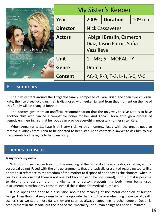| THE DIRECTOR OF 'THE NOTEROOK   | <b>My Sister's Keeper</b> |                                                                     |                 |          |
|---------------------------------|---------------------------|---------------------------------------------------------------------|-----------------|----------|
| cameron diaz<br>abigail breslin | Year                      | 2009                                                                | <b>Duration</b> | 109 min. |
|                                 | <b>Director</b>           | <b>Nick Cassavetes</b>                                              |                 |          |
| sister's keeper                 | <b>Actors</b>             | Abigail Breslin, Cameron<br>Díaz, Jason Patric, Sofia<br>Vassilieva |                 |          |
| civia heat Lating row<br>иле 26 | <b>Unit</b>               | 1.- ME; 5.- MORALITY                                                |                 |          |
|                                 | Genre                     | Drama                                                               |                 |          |
|                                 | <b>Content</b>            | AC-0, R-3, T-3, L-1, S-0, V-0                                       |                 |          |

The film centers around the Fitzgerald family, composed of Sara, Brian and their two children. Kate, their two-year-old daughter, is diagnosed with leukemia, and from that moment on the life of this family will be changed forever.

The doctors give them an unofficial recommendation that the only way to save Kate is to have another child who can be a compatible donor for her. And Anna is born, through a process of genetic engineering, so that her body can provide everything necessary for her sister Kate.

When Anna turns 11, Kate is still very sick. At this moment, faced with the urgent need to remove a kidney from Anna to be donated to her sister, Anna contacts a lawyer to ask him to sue her parents for the rights to her own body.

# Themes to discuss

#### **Is my body my own?**

With this movie we can touch on the meaning of the body: do I have a body?, or rather, am I a corporeal being? Faced with the untrue arguments that are typically presented regarding topics like abortion in reference to the freedom of the mother to dispose of her body as she chooses (when in reality it is obvious that there is not one, but two bodies to be considered), in this film it is possible to defend the position that: my dignity as a person prevents my body from being used instrumentally, without my consent, even if this is done for medical purposes.

It also opens the door to a discussion about the meaning of the moral condition of human beings. Even though it may seem to be the opposite thanks to the overwhelming presence of death scenes that we see almost daily, they are seen as always happening to other people. Death is omnipresent in the media, but the idea of the "mortality" of human beings has been eliminated.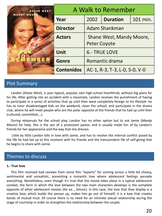| <b>JOW THE HEST-RELUNG NOVE</b><br><b>SHANE WEST</b><br><b>MANDY MOO</b> | A Walk to Remember |                                                                                                            |                               |          |  |
|--------------------------------------------------------------------------|--------------------|------------------------------------------------------------------------------------------------------------|-------------------------------|----------|--|
|                                                                          | Year               | 2002                                                                                                       | <b>Duration</b>               | 101 min. |  |
|                                                                          | <b>Director</b>    | Adam Shankman<br>Shane West, Mandy Moore,<br><b>Peter Coyote</b><br><b>6.- TRUE LOVE</b><br>Romantic drama |                               |          |  |
|                                                                          | <b>Actors</b>      |                                                                                                            |                               |          |  |
|                                                                          |                    |                                                                                                            |                               |          |  |
|                                                                          | <b>Unit</b>        |                                                                                                            |                               |          |  |
|                                                                          | <b>Genre</b>       |                                                                                                            |                               |          |  |
|                                                                          | <b>Contenidos</b>  |                                                                                                            | AC-1, R-3, T-3, L-0, S-0, V-0 |          |  |

Landon (*Shane West*), is your typical, popular, vain high-school heartthrob, without big plans for his life. After getting into an accident with a classmate, Landon receives the punishment of having to participate in a series of activities that up until then were completely foreign to his lifestyle: he has to tutor disadvantaged kids on the weekend, clean the school, and participate in the drama club, where he will meet people who are the polar opposite of the friends that he had up until then (cultured, committed,…).

During rehearsals for the school play, Landon has no other option but to ask Jamie (*Mandy Moore*) for help. She is the son of a protestant pastor, and is usually made fun of by Landon's friends for her appearance and the way that she dresses.

Little by little Landon falls in love with Jamie, and has to resolve the internal conflict posed by the life he had led up to this moment with his friends and the transcendent life of self-giving that he begins to share with Jamie.

### Themes to discuss

#### **1.- True love**

This film received bad reviews from some film "experts" for coming across a little bit cheesy, sentimental and unrealistic, presenting a romantic love where adolescent feelings pervade everything. Nonetheless, even though it's true that the movie takes place in a typical adolescent context, the form in which the love between the two main characters develops is the complete opposite of other adolescent movies (for ex.., GREASE). In this case, the love that they display is a creative love, which builds the person up, makes him go out of himself; it is a love that creates bonds of mutual trust. Of course there is no need for an intimate sexual relationship during the stage of courtship in order to strengthen the relationship between the couple.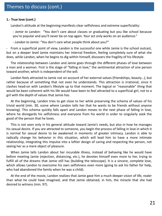### **1.- True love (cont.)**

Landon's attitude at the beginning manifests clear selfishness and extreme superficiality:

*- Jamie to Landon*: "You don't care about classes or graduating but you like school because you're popular and you'll never be on top again. Your act only works on an audience."

- *Landon to Jamie:* "You don't care what people think about you?"

- From a superficial point of view, Landon is the successful one while Jamie is the school outcast, but on a deeper level Jamie maintains her internal freedom, feeling completely sure of what she does, while Landon, when he begins to dig within himself, discovers the fragility of his lifestyle.

The relationship between Landon and Jamie goes through the different phases of love between a man and a woman. First is the stage of "falling in love," the sentimental attraction of one person toward another, which is independent of the will.

Landon feels attracted to Jamie not on account of her external values (friendships, beauty…), but rather because of something that not even he understands. This attraction is irrational, since it clashes head-on with Landon's lifestyle up to that moment. The logical or "reasonable" thing that would be been coherent with his life would have been to feel attracted to a superficial girl, not to a girl with the depth of values that Jamie has.

At the beginning, Landon tries to get close to her while preserving the schema of values of his trivial world (min. 30, scene where Landon tells her that he wants to be friends without anyone knowing). This schema quickly falls apart and Landon moves to the next phase of falling in love, where he disregards his selfishness and everyone from his world in order to singularly seek the good of the person that he loves.

This is not seen only in his general attitude toward Jamie's needs, but also in how he manages his sexual desire. If you are attracted to someone, you begin the process of falling in love in which it is normal for sexual desire to be awakened in moments of greater intimacy. Landon is able to radically change his behavior in this situation, which will lead him to have a more intimate relationship, integrating this impulse into a loftier design of caring and respecting the person, not seeing her as a mere object of pleasure.

When Jamie tells Landon about her incurable illness, instead of behaving like he would have before meeting Jamie (rejection, distancing, etc.), he devotes himself even more to her, trying to fulfill all of the dreams that Jamie still has (building the telescope). It is a sincere, complete love, which allows Landon to overcome his own selfishness even more (going to ask his father for help, who had abandoned the family when he was a child).

At the end of the movie, Landon realizes that Jamie gave him a much deeper vision of life, realer than what he could have imagined, and that Jamie obtained, in him, the miracle that she had desired to witness (min. 97).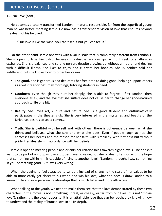### **1.- True love (cont.)**

He becomes a totally transformed Landon – mature, responsible, far from the superficial young man he was before meeting Jamie. He now has a transcendent vision of love that endures beyond the death of his beloved:

"Our love is like the wind, you can't see it but you can feel it."

On the other hand, Jamie operates with a value scale that is completely different from Landon's. She is open to true friendship, believes in valuable relationships, without seeking anything in exchange. She is a balanced and serene person, despite growing up without a mother and dealing with a difficult illness. She likes to enjoy and cultivate her hobbies. She is neither cold nor indifferent, but she knows how to order her values.

- **The good.** She is generous and dedicates her free time to doing good, helping support others as a volunteer on Saturday mornings, tutoring students in need.
- **Goodness**. Even though they hurt her deeply, she is able to forgive first Landon, then everyone else -, and the evil that she suffers does not cause her to change her good-natured approach to life one bit.
- **Beauty**. She loves art, culture and nature. She is a good student and enthusiastically participates in the theater club. She is very interested in the mysteries and beauty of the Universe, desires to see a comet…
- **Truth**. She is truthful with herself and with others: there is coherence between what she thinks and believes, what she says and what she does. Even if people laugh at her, she confesses her beliefs and the reason for her faith with simplicity, with firmness but without pride. Her lifestyle is in accordance with her beliefs.

Jamie is open to meeting people and orients her relationships towards higher levels. She doesn't want to be part of a group whose attitudes have no value, but she relates to Landon with the hope that something within him is capable of rising to another level. "Landon, I thought I saw something in you. Something good. But I was very wrong".

When she begins to feel attracted to Landon, instead of changing the scale of her values to be able to more easily get closer to his world and win his love, what she does is draw Landon to a vision of life and interpersonal relationships that is much fuller and more attractive.

When talking to the youth, we need to make them see that the love demonstrated by these two characters in the movie is not something unreal, or cheesy, or far from our lives (it is not "movie love"); rather, it is the exact opposite: it is an attainable love that can be reached by knowing how to understand the reality of human love in all its depth.